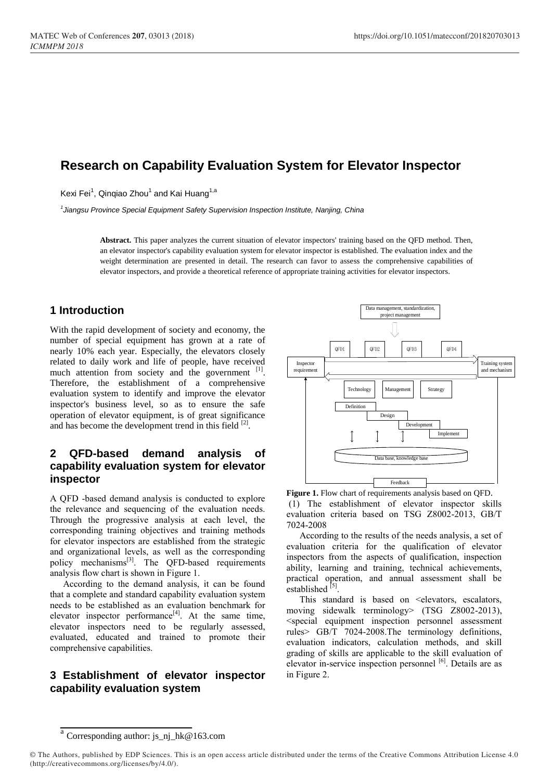# **Research on Capability Evaluation System for Elevator Inspector**

Kexi Fei<sup>1</sup>, Qinqiao Zhou<sup>1</sup> and Kai Huang<sup>1,a</sup>

*1 Jiangsu Province Special Equipment Safety Supervision Inspection Institute, Nanjing, China*

**Abstract.** This paper analyzes the current situation of elevator inspectors' training based on the QFD method. Then, an elevator inspector's capability evaluation system for elevator inspector is established. The evaluation index and the weight determination are presented in detail. The research can favor to assess the comprehensive capabilities of elevator inspectors, and provide a theoretical reference of appropriate training activities for elevator inspectors.

#### **1 Introduction**

With the rapid development of society and economy, the number of special equipment has grown at a rate of nearly 10% each year. Especially, the elevators closely related to daily work and life of people, have received much attention from society and the government [1]. Therefore, the establishment of a comprehensive evaluation system to identify and improve the elevator inspector's business level, so as to ensure the safe operation of elevator equipment, is of great significance and has become the development trend in this field  $^{[2]}$ .

## **2 QFD-based demand analysis of capability evaluation system for elevator inspector**

A QFD -based demand analysis is conducted to explore the relevance and sequencing of the evaluation needs. Through the progressive analysis at each level, the corresponding training objectives and training methods for elevator inspectors are established from the strategic and organizational levels, as well as the corresponding policy mechanisms<sup>[3]</sup>. The QFD-based requirements analysis flow chart is shown in Figure 1.

According to the demand analysis, it can be found that a complete and standard capability evaluation system needs to be established as an evaluation benchmark for elevator inspector performance $[4]$ . At the same time, elevator inspectors need to be regularly assessed, evaluated, educated and trained to promote their comprehensive capabilities.

## **3 Establishment of elevator inspector capability evaluation system**



**Figure 1.** Flow chart of requirements analysis based on QFD. (1) The establishment of elevator inspector skills evaluation criteria based on TSG Z8002-2013, GB/T 7024-2008

According to the results of the needs analysis, a set of evaluation criteria for the qualification of elevator inspectors from the aspects of qualification, inspection ability, learning and training, technical achievements, practical operation, and annual assessment shall be established  $^{[5]}$ .

This standard is based on <elevators, escalators, moving sidewalk terminology> (TSG Z8002-2013), <special equipment inspection personnel assessment rules> GB/T 7024-2008.The terminology definitions, evaluation indicators, calculation methods, and skill grading of skills are applicable to the skill evaluation of elevator in-service inspection personnel  $[6]$ . Details are as in Figure 2.

a<br>Corresponding author: js\_nj\_hk@163.com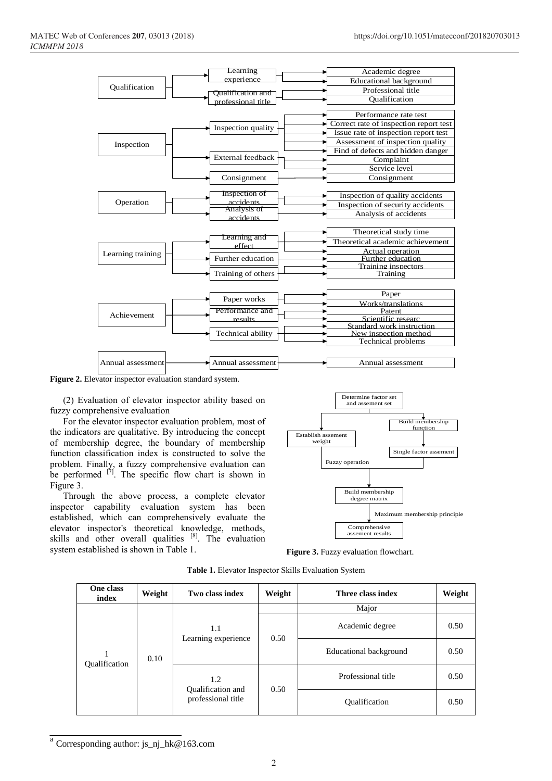

**Figure 2.** Elevator inspector evaluation standard system.

(2) Evaluation of elevator inspector ability based on fuzzy comprehensive evaluation

For the elevator inspector evaluation problem, most of the indicators are qualitative. By introducing the concept of membership degree, the boundary of membership function classification index is constructed to solve the problem. Finally, a fuzzy comprehensive evaluation can be performed  $^{[7]}$ . The specific flow chart is shown in Figure 3.

Through the above process, a complete elevator inspector capability evaluation system has been established, which can comprehensively evaluate the elevator inspector's theoretical knowledge, methods, skills and other overall qualities  $[8]$ . The evaluation system established is shown in Table 1.



**Figure 3.** Fuzzy evaluation flowchart.

| One class<br>index | Weight | Two class index                                | Weight | Three class index      | Weight |
|--------------------|--------|------------------------------------------------|--------|------------------------|--------|
| Qualification      | 0.10   | 1.1<br>Learning experience                     |        | Major                  |        |
|                    |        |                                                | 0.50   | Academic degree        | 0.50   |
|                    |        |                                                |        | Educational background | 0.50   |
|                    |        | 1.2<br>Qualification and<br>professional title | 0.50   | Professional title     | 0.50   |
|                    |        |                                                |        | Qualification          | 0.50   |

**Table 1.** Elevator Inspector Skills Evaluation System

<sup>&</sup>lt;sup>a</sup> Corresponding author: js\_nj\_hk@163.com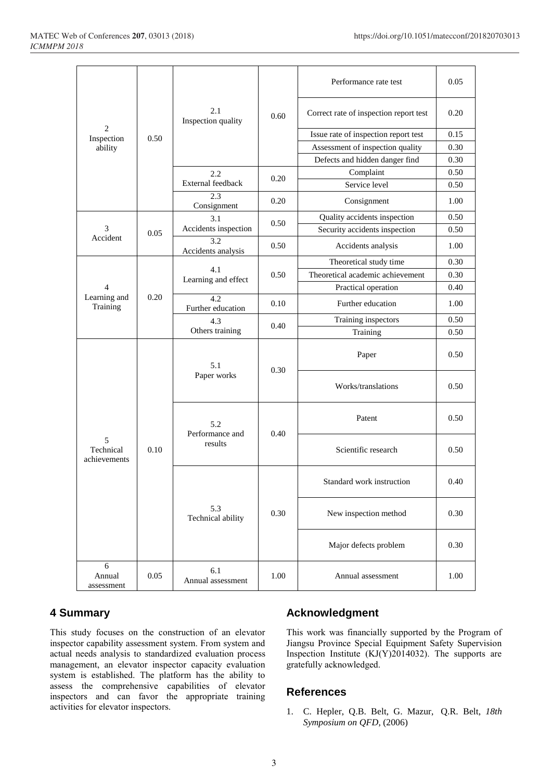| $\overline{2}$<br>Inspection<br>ability | 0.50 | 2.1<br>Inspection quality         | 0.60 | Performance rate test                  | 0.05 |
|-----------------------------------------|------|-----------------------------------|------|----------------------------------------|------|
|                                         |      |                                   |      | Correct rate of inspection report test | 0.20 |
|                                         |      |                                   |      | Issue rate of inspection report test   | 0.15 |
|                                         |      |                                   |      | Assessment of inspection quality       | 0.30 |
|                                         |      |                                   |      | Defects and hidden danger find         | 0.30 |
|                                         |      | 2.2<br>External feedback          | 0.20 | Complaint                              | 0.50 |
|                                         |      |                                   |      | Service level                          | 0.50 |
|                                         |      | 2.3<br>Consignment                | 0.20 | Consignment                            | 1.00 |
| 3<br>Accident                           | 0.05 | 3.1<br>Accidents inspection       | 0.50 | Quality accidents inspection           | 0.50 |
|                                         |      |                                   |      | Security accidents inspection          | 0.50 |
|                                         |      | 3.2<br>Accidents analysis         | 0.50 | Accidents analysis                     | 1.00 |
|                                         | 0.20 | 4.1<br>Learning and effect        | 0.50 | Theoretical study time                 | 0.30 |
| 4<br>Learning and<br>Training           |      |                                   |      | Theoretical academic achievement       | 0.30 |
|                                         |      |                                   |      | Practical operation                    | 0.40 |
|                                         |      | 4.2<br>Further education          | 0.10 | Further education                      | 1.00 |
|                                         |      | 4.3<br>Others training            | 0.40 | Training inspectors                    | 0.50 |
|                                         |      |                                   |      | Training                               | 0.50 |
| 5<br>Technical<br>achievements          | 0.10 | 5.1<br>Paper works                | 0.30 | Paper                                  | 0.50 |
|                                         |      |                                   |      | Works/translations                     | 0.50 |
|                                         |      | 5.2<br>Performance and<br>results | 0.40 | Patent                                 | 0.50 |
|                                         |      |                                   |      | Scientific research                    | 0.50 |
|                                         |      | 5.3<br>Technical ability          | 0.30 | Standard work instruction              | 0.40 |
|                                         |      |                                   |      | New inspection method                  | 0.30 |
|                                         |      |                                   |      | Major defects problem                  | 0.30 |
| 6<br>Annual<br>assessment               | 0.05 | 6.1<br>Annual assessment          | 1.00 | Annual assessment                      | 1.00 |

# **4 Summary**

This study focuses on the construction of an elevator inspector capability assessment system. From system and actual needs analysis to standardized evaluation process management, an elevator inspector capacity evaluation system is established. The platform has the ability to assess the comprehensive capabilities of elevator inspectors and can favor the appropriate training activities for elevator inspectors.

## **Acknowledgment**

This work was financially supported by the Program of Jiangsu Province Special Equipment Safety Supervision Inspection Institute (KJ(Y)2014032). The supports are gratefully acknowledged.

#### **References**

1. C. Hepler, Q.B. Belt, G. Mazur, [Q.R.](http://xueshu.baidu.com/s?wd=author%3A%28Qfd%20Red%20Belt%29%20&tn=SE_baiduxueshu_c1gjeupa&ie=utf-8&sc_f_para=sc_hilight%3Dperson) Belt, *18th Symposium on QFD*, (2006)